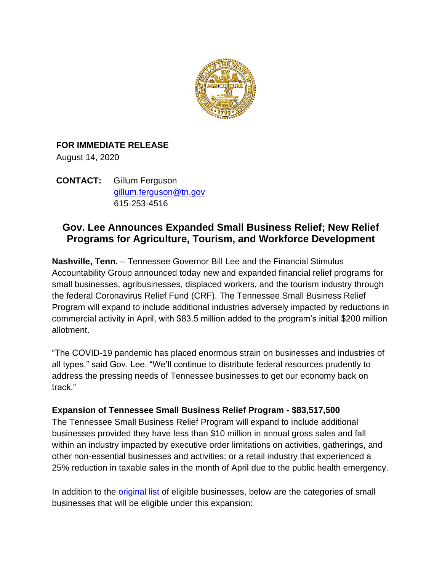

## **FOR IMMEDIATE RELEASE**

August 14, 2020

**CONTACT:** Gillum Ferguson [gillum.ferguson@tn.gov](mailto:gillum.ferguson@tn.gov) 615-253-4516

# **Gov. Lee Announces Expanded Small Business Relief; New Relief Programs for Agriculture, Tourism, and Workforce Development**

**Nashville, Tenn.** – Tennessee Governor Bill Lee and the Financial Stimulus Accountability Group announced today new and expanded financial relief programs for small businesses, agribusinesses, displaced workers, and the tourism industry through the federal Coronavirus Relief Fund (CRF). The Tennessee Small Business Relief Program will expand to include additional industries adversely impacted by reductions in commercial activity in April, with \$83.5 million added to the program's initial \$200 million allotment.

"The COVID-19 pandemic has placed enormous strain on businesses and industries of all types," said Gov. Lee. "We'll continue to distribute federal resources prudently to address the pressing needs of Tennessee businesses to get our economy back on track."

#### **Expansion of Tennessee Small Business Relief Program - \$83,517,500**

The Tennessee Small Business Relief Program will expand to include additional businesses provided they have less than \$10 million in annual gross sales and fall within an industry impacted by executive order limitations on activities, gatherings, and other non-essential businesses and activities; or a retail industry that experienced a 25% reduction in taxable sales in the month of April due to the public health emergency.

In addition to the [original list](https://www.tn.gov/governor/news/2020/6/2/gov-lee-announces-tennessee-business-relief-program.html) of eligible businesses, below are the categories of small businesses that will be eligible under this expansion: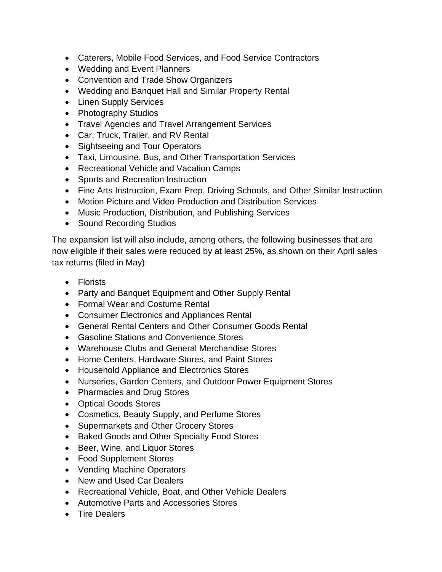- Caterers, Mobile Food Services, and Food Service Contractors
- Wedding and Event Planners
- Convention and Trade Show Organizers
- Wedding and Banquet Hall and Similar Property Rental
- Linen Supply Services
- Photography Studios
- Travel Agencies and Travel Arrangement Services
- Car, Truck, Trailer, and RV Rental
- Sightseeing and Tour Operators
- Taxi, Limousine, Bus, and Other Transportation Services
- Recreational Vehicle and Vacation Camps
- Sports and Recreation Instruction
- Fine Arts Instruction, Exam Prep, Driving Schools, and Other Similar Instruction
- Motion Picture and Video Production and Distribution Services
- Music Production, Distribution, and Publishing Services
- Sound Recording Studios

The expansion list will also include, among others, the following businesses that are now eligible if their sales were reduced by at least 25%, as shown on their April sales tax returns (filed in May):

- Florists
- Party and Banquet Equipment and Other Supply Rental
- Formal Wear and Costume Rental
- Consumer Electronics and Appliances Rental
- General Rental Centers and Other Consumer Goods Rental
- Gasoline Stations and Convenience Stores
- Warehouse Clubs and General Merchandise Stores
- Home Centers, Hardware Stores, and Paint Stores
- Household Appliance and Electronics Stores
- Nurseries, Garden Centers, and Outdoor Power Equipment Stores
- Pharmacies and Drug Stores
- Optical Goods Stores
- Cosmetics, Beauty Supply, and Perfume Stores
- Supermarkets and Other Grocery Stores
- Baked Goods and Other Specialty Food Stores
- Beer, Wine, and Liquor Stores
- Food Supplement Stores
- Vending Machine Operators
- New and Used Car Dealers
- Recreational Vehicle, Boat, and Other Vehicle Dealers
- Automotive Parts and Accessories Stores
- Tire Dealers